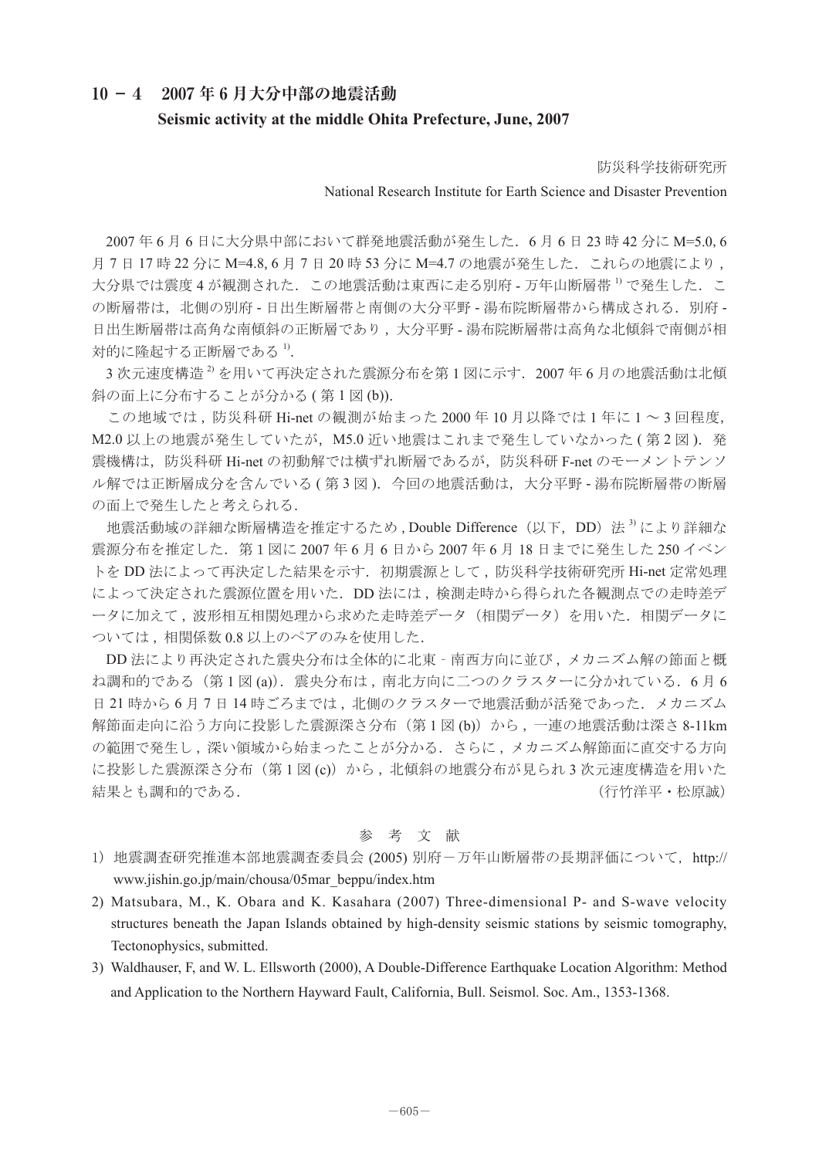## **10 -4 2007 年 6 月大分中部の地震活動**

## **Seismic activity at the middle Ohita Prefecture, June, 2007**

防災科学技術研究所

## National Research Institute for Earth Science and Disaster Prevention

2007年6月6日に大分県中部において群発地震活動が発生した.6月6日23時 42分に M=5.0,6 月7日17時22分に M=4.8,6月7日20時53分に M=4.7の地震が発生した. これらの地震により, 大分県では震度4が観測された.この地震活動は東西に走る別府 - 万年山断層帯<sup>1)</sup> で発生した.こ の断層帯は、北側の別府 - 日出生断層帯と南側の大分平野 - 湯布院断層帯から構成される. 別府 -日出生断層帯は高角な南傾斜の正断層であり , 大分平野 - 湯布院断層帯は高角な北傾斜で南側が相 対的に隆起する正断層である $^{1}$ .

3次元速度構造<sup>2)</sup>を用いて再決定された震源分布を第1図に示す. 2007年6月の地震活動は北傾 斜の面上に分布することが分かる (第1図 (b)).

 この地域では , 防災科研 Hi-net の観測が始まった 2000 年 10 月以降では 1 年に 1 ~ 3 回程度, M2.0 以上の地震が発生していたが、M5.0 近い地震はこれまで発生していなかった (第2図). 発 震機構は,防災科研 Hi-net の初動解では横ずれ断層であるが,防災科研 F-net のモーメントテンソ ル解では正断層成分を含んでいる (第3図). 今回の地震活動は,大分平野 - 湯布院断層帯の断層 の面上で発生したと考えられる.

地震活動域の詳細な断層構造を推定するため,Double Difference (以下, DD) 法<sup>3</sup>) により詳細な 震源分布を推定した.第1図に 2007 年 6 月 6 日から 2007 年 6 月 18 日までに発生した 250 イベン トを DD 法によって再決定した結果を示す. 初期震源として,防災科学技術研究所 Hi-net 定常処理 によって決定された震源位置を用いた.DD 法には , 検測走時から得られた各観測点での走時差デ ータに加えて、波形相互相関処理から求めた走時差データ(相関データ)を用いた.相関データに ついては , 相関係数 0.8 以上のペアのみを使用した.

DD 法により再決定された震央分布は全体的に北東‐南西方向に並び , メカニズム解の節面と概 ね調和的である(第1図 (a)). 震央分布は, 南北方向に二つのクラスターに分かれている. 6月6 日 21 時から 6 月 7 日 14 時ごろまでは, 北側のクラスターで地震活動が活発であった. メカニズム 解節面走向に沿う方向に投影した震源深さ分布(第1図 (b))から,一連の地震活動は深さ 8-11km の範囲で発生し、深い領域から始まったことが分かる。さらに、メカニズム解節面に直交する方向 に投影した震源深さ分布(第1図 (c))から, 北傾斜の地震分布が見られ3次元速度構造を用いた 結果とも調和的である. (行竹洋平・松原誠)

## 参 考 文 献

- 1) 地震調査研究推進本部地震調査委員会 (2005) 別府-万年山断層帯の長期評価について, http:// www.jishin.go.jp/main/chousa/05mar\_beppu/index.htm
- 2) Matsubara, M., K. Obara and K. Kasahara (2007) Three-dimensional P- and S-wave velocity structures beneath the Japan Islands obtained by high-density seismic stations by seismic tomography, Tectonophysics, submitted.
- 3) Waldhauser, F, and W. L. Ellsworth (2000), A Double-Difference Earthquake Location Algorithm: Method and Application to the Northern Hayward Fault, California, Bull. Seismol. Soc. Am., 1353-1368.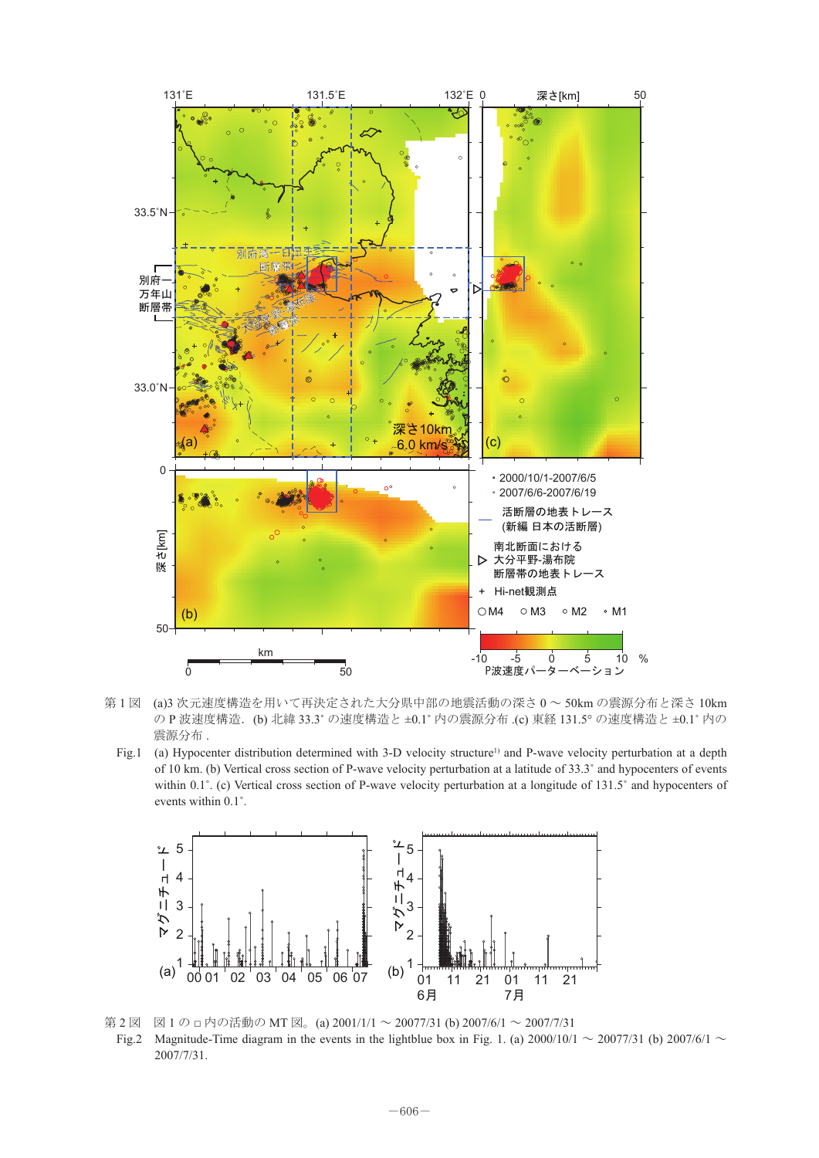

- - - - - -<br>震源分布 . 第 1 図 (a)3 次元速度構造を用いて再決定された大分県中部の地震活動の深さ 0 ~ 50km の震源分布と深さ 10km の P 波速度構造.(b) 北緯 33.3˚ の速度構造と ±0.1˚ 内の震源分布 .(c) 東経 131.5° の速度構造と ±0.1˚ 内の
	- Fig.1 (a) Hypocenter distribution determined with 3-D velocity structure<sup>1)</sup> and P-wave velocity perturbation at a depth of 10 km. (b) Vertical cross section of P-wave velocity perturbation at a latitude of 33.3˚ and hypocenters of events within 0.1°. (c) Vertical cross section of P-wave velocity perturbation at a longitude of 131.5° and hypocenters of events within 0.1˚.



Fig.2 Magnitude-Time diagram in the events in the lightblue box in Fig. 1. (a)  $2000/10/1 \sim 2007/31$  (b)  $2007/6/1 \sim$ 第2図 図1の□内の活動の MT 図。(a) 2001/1/1 ~ 20077/31 (b) 2007/6/1 ~ 2007/7/31 2007/7/31.